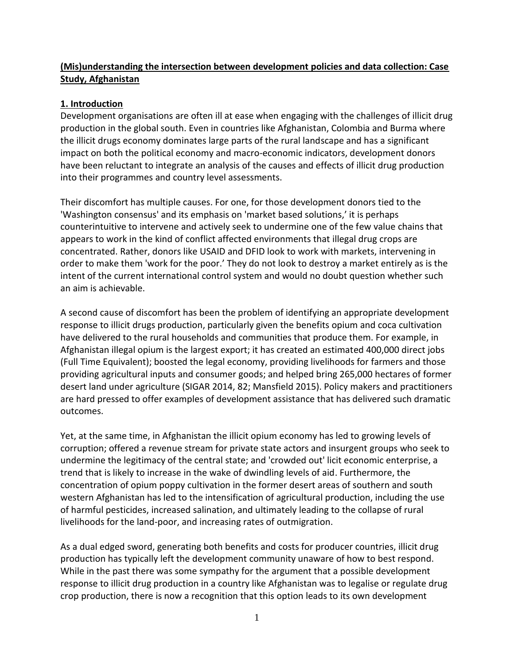# **(Mis)understanding the intersection between development policies and data collection: Case Study, Afghanistan**

## **1. Introduction**

Development organisations are often ill at ease when engaging with the challenges of illicit drug production in the global south. Even in countries like Afghanistan, Colombia and Burma where the illicit drugs economy dominates large parts of the rural landscape and has a significant impact on both the political economy and macro-economic indicators, development donors have been reluctant to integrate an analysis of the causes and effects of illicit drug production into their programmes and country level assessments.

Their discomfort has multiple causes. For one, for those development donors tied to the 'Washington consensus' and its emphasis on 'market based solutions,' it is perhaps counterintuitive to intervene and actively seek to undermine one of the few value chains that appears to work in the kind of conflict affected environments that illegal drug crops are concentrated. Rather, donors like USAID and DFID look to work with markets, intervening in order to make them 'work for the poor.' They do not look to destroy a market entirely as is the intent of the current international control system and would no doubt question whether such an aim is achievable.

A second cause of discomfort has been the problem of identifying an appropriate development response to illicit drugs production, particularly given the benefits opium and coca cultivation have delivered to the rural households and communities that produce them. For example, in Afghanistan illegal opium is the largest export; it has created an estimated 400,000 direct jobs (Full Time Equivalent); boosted the legal economy, providing livelihoods for farmers and those providing agricultural inputs and consumer goods; and helped bring 265,000 hectares of former desert land under agriculture (SIGAR 2014, 82; Mansfield 2015). Policy makers and practitioners are hard pressed to offer examples of development assistance that has delivered such dramatic outcomes.

Yet, at the same time, in Afghanistan the illicit opium economy has led to growing levels of corruption; offered a revenue stream for private state actors and insurgent groups who seek to undermine the legitimacy of the central state; and 'crowded out' licit economic enterprise, a trend that is likely to increase in the wake of dwindling levels of aid. Furthermore, the concentration of opium poppy cultivation in the former desert areas of southern and south western Afghanistan has led to the intensification of agricultural production, including the use of harmful pesticides, increased salination, and ultimately leading to the collapse of rural livelihoods for the land-poor, and increasing rates of outmigration.

As a dual edged sword, generating both benefits and costs for producer countries, illicit drug production has typically left the development community unaware of how to best respond. While in the past there was some sympathy for the argument that a possible development response to illicit drug production in a country like Afghanistan was to legalise or regulate drug crop production, there is now a recognition that this option leads to its own development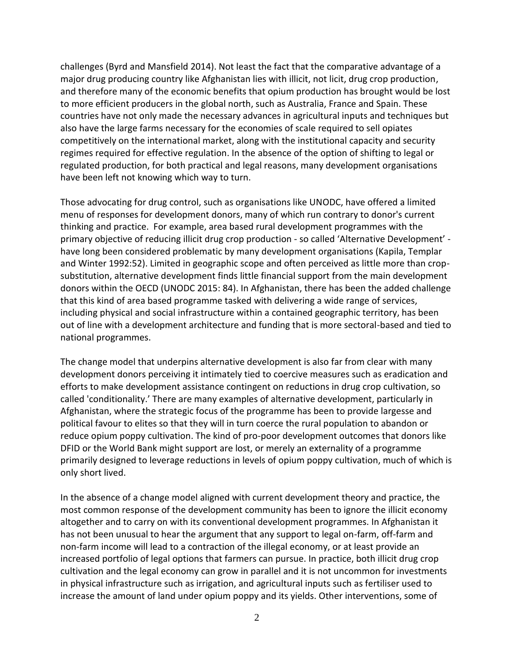challenges (Byrd and Mansfield 2014). Not least the fact that the comparative advantage of a major drug producing country like Afghanistan lies with illicit, not licit, drug crop production, and therefore many of the economic benefits that opium production has brought would be lost to more efficient producers in the global north, such as Australia, France and Spain. These countries have not only made the necessary advances in agricultural inputs and techniques but also have the large farms necessary for the economies of scale required to sell opiates competitively on the international market, along with the institutional capacity and security regimes required for effective regulation. In the absence of the option of shifting to legal or regulated production, for both practical and legal reasons, many development organisations have been left not knowing which way to turn.

Those advocating for drug control, such as organisations like UNODC, have offered a limited menu of responses for development donors, many of which run contrary to donor's current thinking and practice. For example, area based rural development programmes with the primary objective of reducing illicit drug crop production - so called 'Alternative Development' have long been considered problematic by many development organisations (Kapila, Templar and Winter 1992:52). Limited in geographic scope and often perceived as little more than cropsubstitution, alternative development finds little financial support from the main development donors within the OECD (UNODC 2015: 84). In Afghanistan, there has been the added challenge that this kind of area based programme tasked with delivering a wide range of services, including physical and social infrastructure within a contained geographic territory, has been out of line with a development architecture and funding that is more sectoral-based and tied to national programmes.

The change model that underpins alternative development is also far from clear with many development donors perceiving it intimately tied to coercive measures such as eradication and efforts to make development assistance contingent on reductions in drug crop cultivation, so called 'conditionality.' There are many examples of alternative development, particularly in Afghanistan, where the strategic focus of the programme has been to provide largesse and political favour to elites so that they will in turn coerce the rural population to abandon or reduce opium poppy cultivation. The kind of pro-poor development outcomes that donors like DFID or the World Bank might support are lost, or merely an externality of a programme primarily designed to leverage reductions in levels of opium poppy cultivation, much of which is only short lived.

In the absence of a change model aligned with current development theory and practice, the most common response of the development community has been to ignore the illicit economy altogether and to carry on with its conventional development programmes. In Afghanistan it has not been unusual to hear the argument that any support to legal on-farm, off-farm and non-farm income will lead to a contraction of the illegal economy, or at least provide an increased portfolio of legal options that farmers can pursue. In practice, both illicit drug crop cultivation and the legal economy can grow in parallel and it is not uncommon for investments in physical infrastructure such as irrigation, and agricultural inputs such as fertiliser used to increase the amount of land under opium poppy and its yields. Other interventions, some of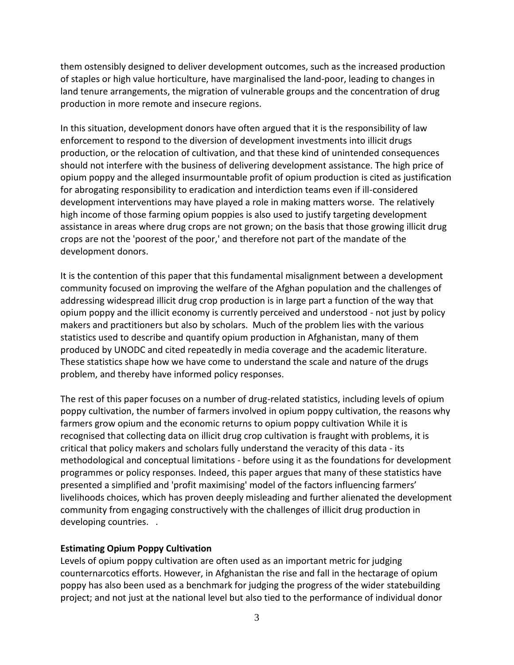them ostensibly designed to deliver development outcomes, such as the increased production of staples or high value horticulture, have marginalised the land-poor, leading to changes in land tenure arrangements, the migration of vulnerable groups and the concentration of drug production in more remote and insecure regions.

In this situation, development donors have often argued that it is the responsibility of law enforcement to respond to the diversion of development investments into illicit drugs production, or the relocation of cultivation, and that these kind of unintended consequences should not interfere with the business of delivering development assistance. The high price of opium poppy and the alleged insurmountable profit of opium production is cited as justification for abrogating responsibility to eradication and interdiction teams even if ill-considered development interventions may have played a role in making matters worse. The relatively high income of those farming opium poppies is also used to justify targeting development assistance in areas where drug crops are not grown; on the basis that those growing illicit drug crops are not the 'poorest of the poor,' and therefore not part of the mandate of the development donors.

It is the contention of this paper that this fundamental misalignment between a development community focused on improving the welfare of the Afghan population and the challenges of addressing widespread illicit drug crop production is in large part a function of the way that opium poppy and the illicit economy is currently perceived and understood - not just by policy makers and practitioners but also by scholars. Much of the problem lies with the various statistics used to describe and quantify opium production in Afghanistan, many of them produced by UNODC and cited repeatedly in media coverage and the academic literature. These statistics shape how we have come to understand the scale and nature of the drugs problem, and thereby have informed policy responses.

The rest of this paper focuses on a number of drug-related statistics, including levels of opium poppy cultivation, the number of farmers involved in opium poppy cultivation, the reasons why farmers grow opium and the economic returns to opium poppy cultivation While it is recognised that collecting data on illicit drug crop cultivation is fraught with problems, it is critical that policy makers and scholars fully understand the veracity of this data - its methodological and conceptual limitations - before using it as the foundations for development programmes or policy responses. Indeed, this paper argues that many of these statistics have presented a simplified and 'profit maximising' model of the factors influencing farmers' livelihoods choices, which has proven deeply misleading and further alienated the development community from engaging constructively with the challenges of illicit drug production in developing countries. .

#### **Estimating Opium Poppy Cultivation**

Levels of opium poppy cultivation are often used as an important metric for judging counternarcotics efforts. However, in Afghanistan the rise and fall in the hectarage of opium poppy has also been used as a benchmark for judging the progress of the wider statebuilding project; and not just at the national level but also tied to the performance of individual donor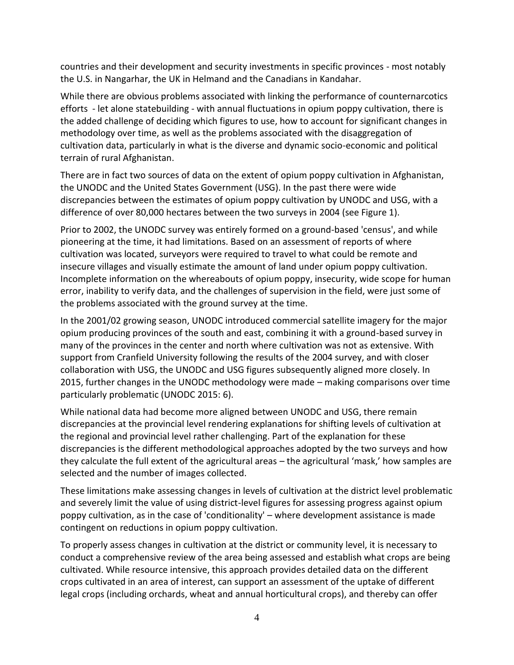countries and their development and security investments in specific provinces - most notably the U.S. in Nangarhar, the UK in Helmand and the Canadians in Kandahar.

While there are obvious problems associated with linking the performance of counternarcotics efforts - let alone statebuilding - with annual fluctuations in opium poppy cultivation, there is the added challenge of deciding which figures to use, how to account for significant changes in methodology over time, as well as the problems associated with the disaggregation of cultivation data, particularly in what is the diverse and dynamic socio-economic and political terrain of rural Afghanistan.

There are in fact two sources of data on the extent of opium poppy cultivation in Afghanistan, the UNODC and the United States Government (USG). In the past there were wide discrepancies between the estimates of opium poppy cultivation by UNODC and USG, with a difference of over 80,000 hectares between the two surveys in 2004 (see Figure 1).

Prior to 2002, the UNODC survey was entirely formed on a ground-based 'census', and while pioneering at the time, it had limitations. Based on an assessment of reports of where cultivation was located, surveyors were required to travel to what could be remote and insecure villages and visually estimate the amount of land under opium poppy cultivation. Incomplete information on the whereabouts of opium poppy, insecurity, wide scope for human error, inability to verify data, and the challenges of supervision in the field, were just some of the problems associated with the ground survey at the time.

In the 2001/02 growing season, UNODC introduced commercial satellite imagery for the major opium producing provinces of the south and east, combining it with a ground-based survey in many of the provinces in the center and north where cultivation was not as extensive. With support from Cranfield University following the results of the 2004 survey, and with closer collaboration with USG, the UNODC and USG figures subsequently aligned more closely. In 2015, further changes in the UNODC methodology were made – making comparisons over time particularly problematic (UNODC 2015: 6).

While national data had become more aligned between UNODC and USG, there remain discrepancies at the provincial level rendering explanations for shifting levels of cultivation at the regional and provincial level rather challenging. Part of the explanation for these discrepancies is the different methodological approaches adopted by the two surveys and how they calculate the full extent of the agricultural areas – the agricultural 'mask,' how samples are selected and the number of images collected.

These limitations make assessing changes in levels of cultivation at the district level problematic and severely limit the value of using district-level figures for assessing progress against opium poppy cultivation, as in the case of 'conditionality' – where development assistance is made contingent on reductions in opium poppy cultivation.

To properly assess changes in cultivation at the district or community level, it is necessary to conduct a comprehensive review of the area being assessed and establish what crops are being cultivated. While resource intensive, this approach provides detailed data on the different crops cultivated in an area of interest, can support an assessment of the uptake of different legal crops (including orchards, wheat and annual horticultural crops), and thereby can offer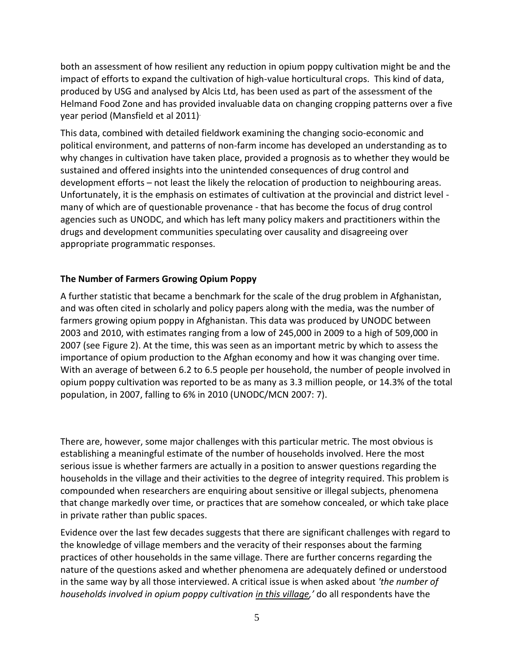both an assessment of how resilient any reduction in opium poppy cultivation might be and the impact of efforts to expand the cultivation of high-value horticultural crops. This kind of data, produced by USG and analysed by Alcis Ltd, has been used as part of the assessment of the Helmand Food Zone and has provided invaluable data on changing cropping patterns over a five year period (Mansfield et al 2011).

This data, combined with detailed fieldwork examining the changing socio-economic and political environment, and patterns of non-farm income has developed an understanding as to why changes in cultivation have taken place, provided a prognosis as to whether they would be sustained and offered insights into the unintended consequences of drug control and development efforts – not least the likely the relocation of production to neighbouring areas. Unfortunately, it is the emphasis on estimates of cultivation at the provincial and district level many of which are of questionable provenance - that has become the focus of drug control agencies such as UNODC, and which has left many policy makers and practitioners within the drugs and development communities speculating over causality and disagreeing over appropriate programmatic responses.

## **The Number of Farmers Growing Opium Poppy**

A further statistic that became a benchmark for the scale of the drug problem in Afghanistan, and was often cited in scholarly and policy papers along with the media, was the number of farmers growing opium poppy in Afghanistan. This data was produced by UNODC between 2003 and 2010, with estimates ranging from a low of 245,000 in 2009 to a high of 509,000 in 2007 (see Figure 2). At the time, this was seen as an important metric by which to assess the importance of opium production to the Afghan economy and how it was changing over time. With an average of between 6.2 to 6.5 people per household, the number of people involved in opium poppy cultivation was reported to be as many as 3.3 million people, or 14.3% of the total population, in 2007, falling to 6% in 2010 (UNODC/MCN 2007: 7).

There are, however, some major challenges with this particular metric. The most obvious is establishing a meaningful estimate of the number of households involved. Here the most serious issue is whether farmers are actually in a position to answer questions regarding the households in the village and their activities to the degree of integrity required. This problem is compounded when researchers are enquiring about sensitive or illegal subjects, phenomena that change markedly over time, or practices that are somehow concealed, or which take place in private rather than public spaces.

Evidence over the last few decades suggests that there are significant challenges with regard to the knowledge of village members and the veracity of their responses about the farming practices of other households in the same village. There are further concerns regarding the nature of the questions asked and whether phenomena are adequately defined or understood in the same way by all those interviewed. A critical issue is when asked about *'the number of households involved in opium poppy cultivation in this village,'* do all respondents have the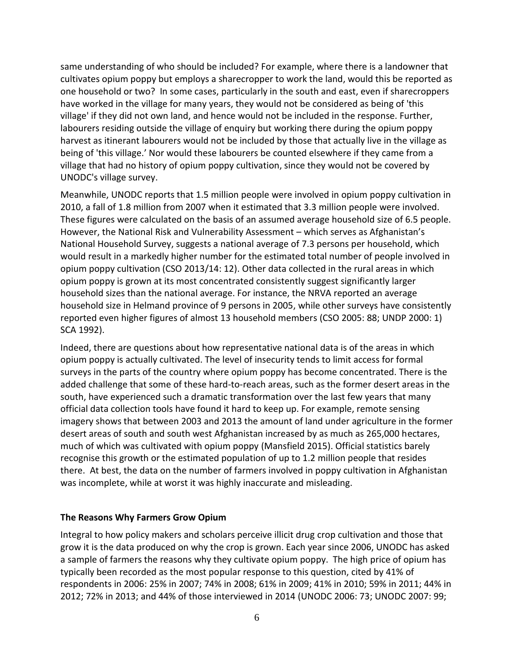same understanding of who should be included? For example, where there is a landowner that cultivates opium poppy but employs a sharecropper to work the land, would this be reported as one household or two? In some cases, particularly in the south and east, even if sharecroppers have worked in the village for many years, they would not be considered as being of 'this village' if they did not own land, and hence would not be included in the response. Further, labourers residing outside the village of enquiry but working there during the opium poppy harvest as itinerant labourers would not be included by those that actually live in the village as being of 'this village.' Nor would these labourers be counted elsewhere if they came from a village that had no history of opium poppy cultivation, since they would not be covered by UNODC's village survey.

Meanwhile, UNODC reports that 1.5 million people were involved in opium poppy cultivation in 2010, a fall of 1.8 million from 2007 when it estimated that 3.3 million people were involved. These figures were calculated on the basis of an assumed average household size of 6.5 people. However, the National Risk and Vulnerability Assessment – which serves as Afghanistan's National Household Survey, suggests a national average of 7.3 persons per household, which would result in a markedly higher number for the estimated total number of people involved in opium poppy cultivation (CSO 2013/14: 12). Other data collected in the rural areas in which opium poppy is grown at its most concentrated consistently suggest significantly larger household sizes than the national average. For instance, the NRVA reported an average household size in Helmand province of 9 persons in 2005, while other surveys have consistently reported even higher figures of almost 13 household members (CSO 2005: 88; UNDP 2000: 1) SCA 1992).

Indeed, there are questions about how representative national data is of the areas in which opium poppy is actually cultivated. The level of insecurity tends to limit access for formal surveys in the parts of the country where opium poppy has become concentrated. There is the added challenge that some of these hard-to-reach areas, such as the former desert areas in the south, have experienced such a dramatic transformation over the last few years that many official data collection tools have found it hard to keep up. For example, remote sensing imagery shows that between 2003 and 2013 the amount of land under agriculture in the former desert areas of south and south west Afghanistan increased by as much as 265,000 hectares, much of which was cultivated with opium poppy (Mansfield 2015). Official statistics barely recognise this growth or the estimated population of up to 1.2 million people that resides there. At best, the data on the number of farmers involved in poppy cultivation in Afghanistan was incomplete, while at worst it was highly inaccurate and misleading.

#### **The Reasons Why Farmers Grow Opium**

Integral to how policy makers and scholars perceive illicit drug crop cultivation and those that grow it is the data produced on why the crop is grown. Each year since 2006, UNODC has asked a sample of farmers the reasons why they cultivate opium poppy. The high price of opium has typically been recorded as the most popular response to this question, cited by 41% of respondents in 2006: 25% in 2007; 74% in 2008; 61% in 2009; 41% in 2010; 59% in 2011; 44% in 2012; 72% in 2013; and 44% of those interviewed in 2014 (UNODC 2006: 73; UNODC 2007: 99;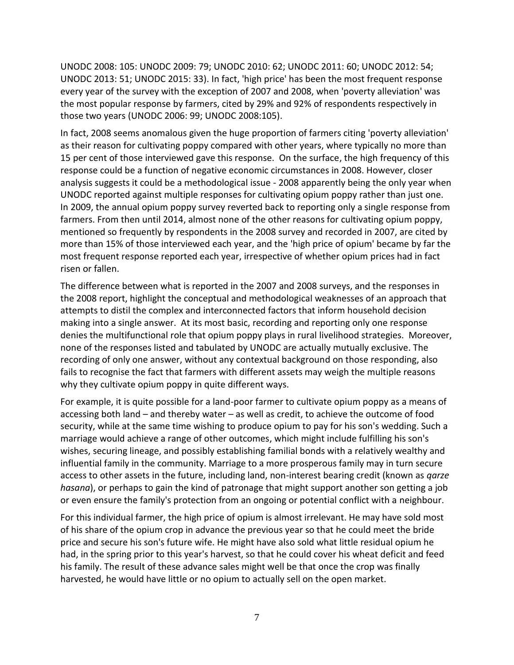UNODC 2008: 105: UNODC 2009: 79; UNODC 2010: 62; UNODC 2011: 60; UNODC 2012: 54; UNODC 2013: 51; UNODC 2015: 33). In fact, 'high price' has been the most frequent response every year of the survey with the exception of 2007 and 2008, when 'poverty alleviation' was the most popular response by farmers, cited by 29% and 92% of respondents respectively in those two years (UNODC 2006: 99; UNODC 2008:105).

In fact, 2008 seems anomalous given the huge proportion of farmers citing 'poverty alleviation' as their reason for cultivating poppy compared with other years, where typically no more than 15 per cent of those interviewed gave this response. On the surface, the high frequency of this response could be a function of negative economic circumstances in 2008. However, closer analysis suggests it could be a methodological issue - 2008 apparently being the only year when UNODC reported against multiple responses for cultivating opium poppy rather than just one. In 2009, the annual opium poppy survey reverted back to reporting only a single response from farmers. From then until 2014, almost none of the other reasons for cultivating opium poppy, mentioned so frequently by respondents in the 2008 survey and recorded in 2007, are cited by more than 15% of those interviewed each year, and the 'high price of opium' became by far the most frequent response reported each year, irrespective of whether opium prices had in fact risen or fallen.

The difference between what is reported in the 2007 and 2008 surveys, and the responses in the 2008 report, highlight the conceptual and methodological weaknesses of an approach that attempts to distil the complex and interconnected factors that inform household decision making into a single answer. At its most basic, recording and reporting only one response denies the multifunctional role that opium poppy plays in rural livelihood strategies. Moreover, none of the responses listed and tabulated by UNODC are actually mutually exclusive. The recording of only one answer, without any contextual background on those responding, also fails to recognise the fact that farmers with different assets may weigh the multiple reasons why they cultivate opium poppy in quite different ways.

For example, it is quite possible for a land-poor farmer to cultivate opium poppy as a means of accessing both land – and thereby water – as well as credit, to achieve the outcome of food security, while at the same time wishing to produce opium to pay for his son's wedding. Such a marriage would achieve a range of other outcomes, which might include fulfilling his son's wishes, securing lineage, and possibly establishing familial bonds with a relatively wealthy and influential family in the community. Marriage to a more prosperous family may in turn secure access to other assets in the future, including land, non-interest bearing credit (known as *qarze hasana*), or perhaps to gain the kind of patronage that might support another son getting a job or even ensure the family's protection from an ongoing or potential conflict with a neighbour.

For this individual farmer, the high price of opium is almost irrelevant. He may have sold most of his share of the opium crop in advance the previous year so that he could meet the bride price and secure his son's future wife. He might have also sold what little residual opium he had, in the spring prior to this year's harvest, so that he could cover his wheat deficit and feed his family. The result of these advance sales might well be that once the crop was finally harvested, he would have little or no opium to actually sell on the open market.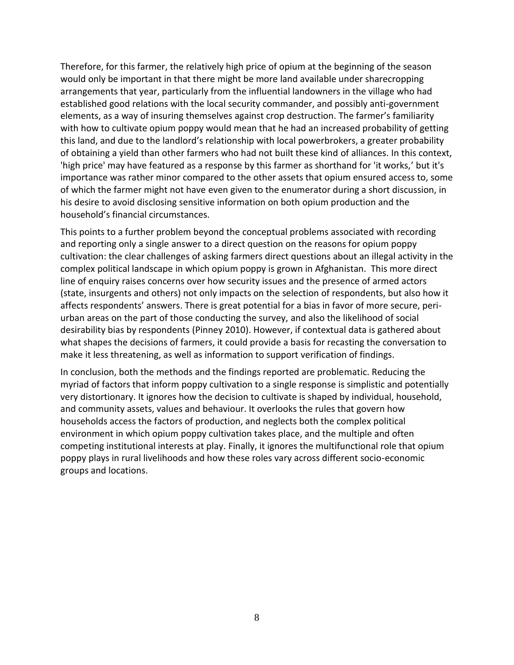Therefore, for this farmer, the relatively high price of opium at the beginning of the season would only be important in that there might be more land available under sharecropping arrangements that year, particularly from the influential landowners in the village who had established good relations with the local security commander, and possibly anti-government elements, as a way of insuring themselves against crop destruction. The farmer's familiarity with how to cultivate opium poppy would mean that he had an increased probability of getting this land, and due to the landlord's relationship with local powerbrokers, a greater probability of obtaining a yield than other farmers who had not built these kind of alliances. In this context, 'high price' may have featured as a response by this farmer as shorthand for 'it works,' but it's importance was rather minor compared to the other assets that opium ensured access to, some of which the farmer might not have even given to the enumerator during a short discussion, in his desire to avoid disclosing sensitive information on both opium production and the household's financial circumstances.

This points to a further problem beyond the conceptual problems associated with recording and reporting only a single answer to a direct question on the reasons for opium poppy cultivation: the clear challenges of asking farmers direct questions about an illegal activity in the complex political landscape in which opium poppy is grown in Afghanistan. This more direct line of enquiry raises concerns over how security issues and the presence of armed actors (state, insurgents and others) not only impacts on the selection of respondents, but also how it affects respondents' answers. There is great potential for a bias in favor of more secure, periurban areas on the part of those conducting the survey, and also the likelihood of social desirability bias by respondents (Pinney 2010). However, if contextual data is gathered about what shapes the decisions of farmers, it could provide a basis for recasting the conversation to make it less threatening, as well as information to support verification of findings.

In conclusion, both the methods and the findings reported are problematic. Reducing the myriad of factors that inform poppy cultivation to a single response is simplistic and potentially very distortionary. It ignores how the decision to cultivate is shaped by individual, household, and community assets, values and behaviour. It overlooks the rules that govern how households access the factors of production, and neglects both the complex political environment in which opium poppy cultivation takes place, and the multiple and often competing institutional interests at play. Finally, it ignores the multifunctional role that opium poppy plays in rural livelihoods and how these roles vary across different socio-economic groups and locations.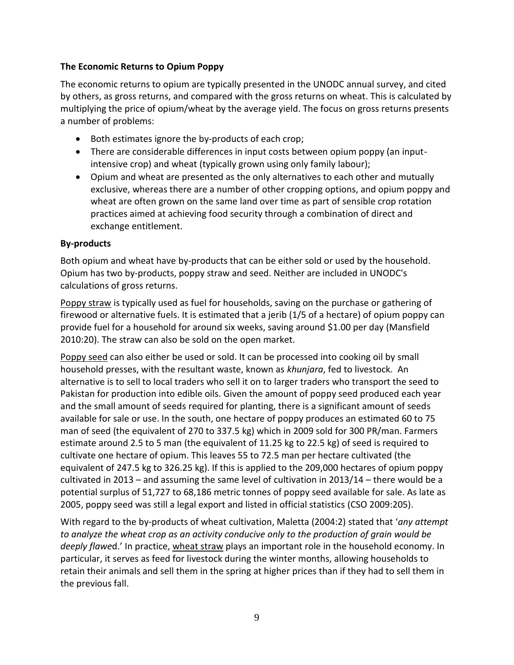### **The Economic Returns to Opium Poppy**

The economic returns to opium are typically presented in the UNODC annual survey, and cited by others, as gross returns, and compared with the gross returns on wheat. This is calculated by multiplying the price of opium/wheat by the average yield. The focus on gross returns presents a number of problems:

- Both estimates ignore the by-products of each crop;
- There are considerable differences in input costs between opium poppy (an inputintensive crop) and wheat (typically grown using only family labour);
- Opium and wheat are presented as the only alternatives to each other and mutually exclusive, whereas there are a number of other cropping options, and opium poppy and wheat are often grown on the same land over time as part of sensible crop rotation practices aimed at achieving food security through a combination of direct and exchange entitlement.

## **By-products**

Both opium and wheat have by-products that can be either sold or used by the household. Opium has two by-products, poppy straw and seed. Neither are included in UNODC's calculations of gross returns.

Poppy straw is typically used as fuel for households, saving on the purchase or gathering of firewood or alternative fuels. It is estimated that a jerib (1/5 of a hectare) of opium poppy can provide fuel for a household for around six weeks, saving around \$1.00 per day (Mansfield 2010:20). The straw can also be sold on the open market.

Poppy seed can also either be used or sold. It can be processed into cooking oil by small household presses, with the resultant waste, known as *khunjara*, fed to livestock. An alternative is to sell to local traders who sell it on to larger traders who transport the seed to Pakistan for production into edible oils. Given the amount of poppy seed produced each year and the small amount of seeds required for planting, there is a significant amount of seeds available for sale or use. In the south, one hectare of poppy produces an estimated 60 to 75 man of seed (the equivalent of 270 to 337.5 kg) which in 2009 sold for 300 PR/man. Farmers estimate around 2.5 to 5 man (the equivalent of 11.25 kg to 22.5 kg) of seed is required to cultivate one hectare of opium. This leaves 55 to 72.5 man per hectare cultivated (the equivalent of 247.5 kg to 326.25 kg). If this is applied to the 209,000 hectares of opium poppy cultivated in 2013 – and assuming the same level of cultivation in 2013/14 – there would be a potential surplus of 51,727 to 68,186 metric tonnes of poppy seed available for sale. As late as 2005, poppy seed was still a legal export and listed in official statistics (CSO 2009:205).

With regard to the by-products of wheat cultivation, Maletta (2004:2) stated that '*any attempt to analyze the wheat crop as an activity conducive only to the production of grain would be deeply flawe*d.' In practice, wheat straw plays an important role in the household economy. In particular, it serves as feed for livestock during the winter months, allowing households to retain their animals and sell them in the spring at higher prices than if they had to sell them in the previous fall.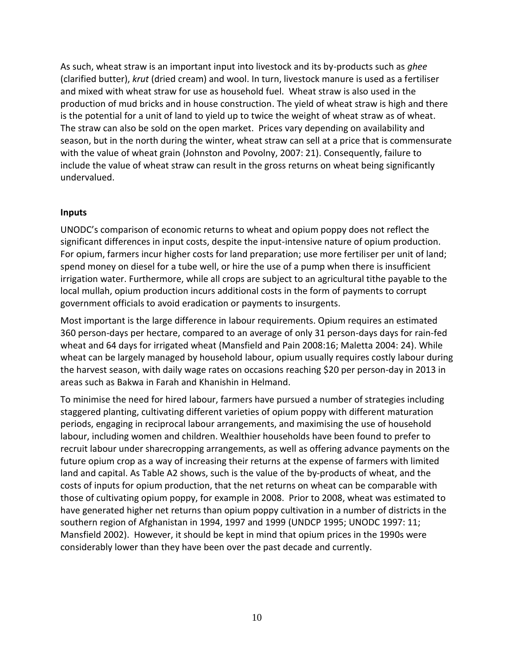As such, wheat straw is an important input into livestock and its by-products such as *ghee*  (clarified butter), *krut* (dried cream) and wool. In turn, livestock manure is used as a fertiliser and mixed with wheat straw for use as household fuel. Wheat straw is also used in the production of mud bricks and in house construction. The yield of wheat straw is high and there is the potential for a unit of land to yield up to twice the weight of wheat straw as of wheat. The straw can also be sold on the open market. Prices vary depending on availability and season, but in the north during the winter, wheat straw can sell at a price that is commensurate with the value of wheat grain (Johnston and Povolny, 2007: 21). Consequently, failure to include the value of wheat straw can result in the gross returns on wheat being significantly undervalued.

#### **Inputs**

UNODC's comparison of economic returns to wheat and opium poppy does not reflect the significant differences in input costs, despite the input-intensive nature of opium production. For opium, farmers incur higher costs for land preparation; use more fertiliser per unit of land; spend money on diesel for a tube well, or hire the use of a pump when there is insufficient irrigation water. Furthermore, while all crops are subject to an agricultural tithe payable to the local mullah, opium production incurs additional costs in the form of payments to corrupt government officials to avoid eradication or payments to insurgents.

Most important is the large difference in labour requirements. Opium requires an estimated 360 person-days per hectare, compared to an average of only 31 person-days days for rain-fed wheat and 64 days for irrigated wheat (Mansfield and Pain 2008:16; Maletta 2004: 24). While wheat can be largely managed by household labour, opium usually requires costly labour during the harvest season, with daily wage rates on occasions reaching \$20 per person-day in 2013 in areas such as Bakwa in Farah and Khanishin in Helmand.

To minimise the need for hired labour, farmers have pursued a number of strategies including staggered planting, cultivating different varieties of opium poppy with different maturation periods, engaging in reciprocal labour arrangements, and maximising the use of household labour, including women and children. Wealthier households have been found to prefer to recruit labour under sharecropping arrangements, as well as offering advance payments on the future opium crop as a way of increasing their returns at the expense of farmers with limited land and capital. As Table A2 shows, such is the value of the by-products of wheat, and the costs of inputs for opium production, that the net returns on wheat can be comparable with those of cultivating opium poppy, for example in 2008. Prior to 2008, wheat was estimated to have generated higher net returns than opium poppy cultivation in a number of districts in the southern region of Afghanistan in 1994, 1997 and 1999 (UNDCP 1995; UNODC 1997: 11; Mansfield 2002). However, it should be kept in mind that opium prices in the 1990s were considerably lower than they have been over the past decade and currently.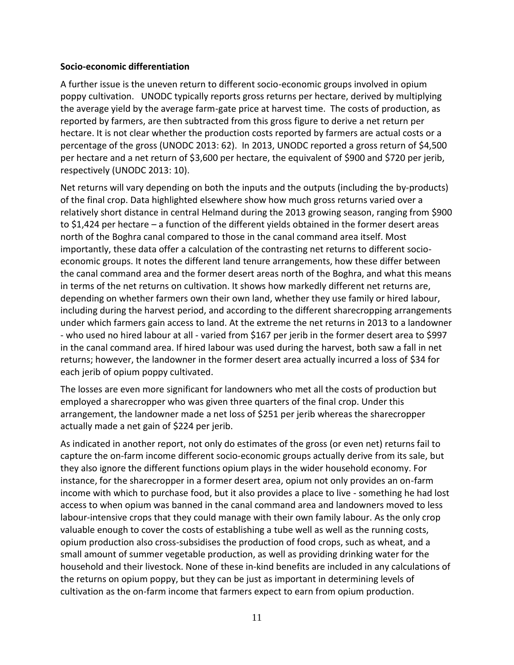#### **Socio-economic differentiation**

A further issue is the uneven return to different socio-economic groups involved in opium poppy cultivation. UNODC typically reports gross returns per hectare, derived by multiplying the average yield by the average farm-gate price at harvest time. The costs of production, as reported by farmers, are then subtracted from this gross figure to derive a net return per hectare. It is not clear whether the production costs reported by farmers are actual costs or a percentage of the gross (UNODC 2013: 62). In 2013, UNODC reported a gross return of \$4,500 per hectare and a net return of \$3,600 per hectare, the equivalent of \$900 and \$720 per jerib, respectively (UNODC 2013: 10).

Net returns will vary depending on both the inputs and the outputs (including the by-products) of the final crop. Data highlighted elsewhere show how much gross returns varied over a relatively short distance in central Helmand during the 2013 growing season, ranging from \$900 to \$1,424 per hectare – a function of the different yields obtained in the former desert areas north of the Boghra canal compared to those in the canal command area itself. Most importantly, these data offer a calculation of the contrasting net returns to different socioeconomic groups. It notes the different land tenure arrangements, how these differ between the canal command area and the former desert areas north of the Boghra, and what this means in terms of the net returns on cultivation. It shows how markedly different net returns are, depending on whether farmers own their own land, whether they use family or hired labour, including during the harvest period, and according to the different sharecropping arrangements under which farmers gain access to land. At the extreme the net returns in 2013 to a landowner - who used no hired labour at all - varied from \$167 per jerib in the former desert area to \$997 in the canal command area. If hired labour was used during the harvest, both saw a fall in net returns; however, the landowner in the former desert area actually incurred a loss of \$34 for each jerib of opium poppy cultivated.

The losses are even more significant for landowners who met all the costs of production but employed a sharecropper who was given three quarters of the final crop. Under this arrangement, the landowner made a net loss of \$251 per jerib whereas the sharecropper actually made a net gain of \$224 per jerib.

As indicated in another report, not only do estimates of the gross (or even net) returns fail to capture the on-farm income different socio-economic groups actually derive from its sale, but they also ignore the different functions opium plays in the wider household economy. For instance, for the sharecropper in a former desert area, opium not only provides an on-farm income with which to purchase food, but it also provides a place to live - something he had lost access to when opium was banned in the canal command area and landowners moved to less labour-intensive crops that they could manage with their own family labour. As the only crop valuable enough to cover the costs of establishing a tube well as well as the running costs, opium production also cross-subsidises the production of food crops, such as wheat, and a small amount of summer vegetable production, as well as providing drinking water for the household and their livestock. None of these in-kind benefits are included in any calculations of the returns on opium poppy, but they can be just as important in determining levels of cultivation as the on-farm income that farmers expect to earn from opium production.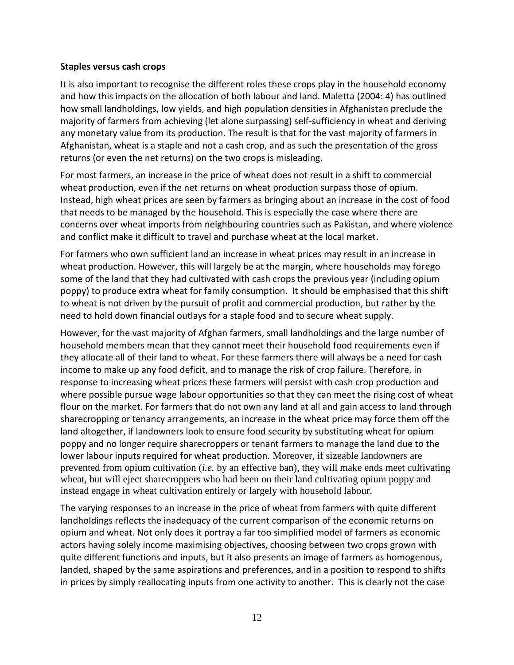#### **Staples versus cash crops**

It is also important to recognise the different roles these crops play in the household economy and how this impacts on the allocation of both labour and land. Maletta (2004: 4) has outlined how small landholdings, low yields, and high population densities in Afghanistan preclude the majority of farmers from achieving (let alone surpassing) self-sufficiency in wheat and deriving any monetary value from its production. The result is that for the vast majority of farmers in Afghanistan, wheat is a staple and not a cash crop, and as such the presentation of the gross returns (or even the net returns) on the two crops is misleading.

For most farmers, an increase in the price of wheat does not result in a shift to commercial wheat production, even if the net returns on wheat production surpass those of opium. Instead, high wheat prices are seen by farmers as bringing about an increase in the cost of food that needs to be managed by the household. This is especially the case where there are concerns over wheat imports from neighbouring countries such as Pakistan, and where violence and conflict make it difficult to travel and purchase wheat at the local market.

For farmers who own sufficient land an increase in wheat prices may result in an increase in wheat production. However, this will largely be at the margin, where households may forego some of the land that they had cultivated with cash crops the previous year (including opium poppy) to produce extra wheat for family consumption. It should be emphasised that this shift to wheat is not driven by the pursuit of profit and commercial production, but rather by the need to hold down financial outlays for a staple food and to secure wheat supply.

However, for the vast majority of Afghan farmers, small landholdings and the large number of household members mean that they cannot meet their household food requirements even if they allocate all of their land to wheat. For these farmers there will always be a need for cash income to make up any food deficit, and to manage the risk of crop failure. Therefore, in response to increasing wheat prices these farmers will persist with cash crop production and where possible pursue wage labour opportunities so that they can meet the rising cost of wheat flour on the market. For farmers that do not own any land at all and gain access to land through sharecropping or tenancy arrangements, an increase in the wheat price may force them off the land altogether, if landowners look to ensure food security by substituting wheat for opium poppy and no longer require sharecroppers or tenant farmers to manage the land due to the lower labour inputs required for wheat production. Moreover, if sizeable landowners are prevented from opium cultivation (*i.e.* by an effective ban), they will make ends meet cultivating wheat, but will eject sharecroppers who had been on their land cultivating opium poppy and instead engage in wheat cultivation entirely or largely with household labour.

The varying responses to an increase in the price of wheat from farmers with quite different landholdings reflects the inadequacy of the current comparison of the economic returns on opium and wheat. Not only does it portray a far too simplified model of farmers as economic actors having solely income maximising objectives, choosing between two crops grown with quite different functions and inputs, but it also presents an image of farmers as homogenous, landed, shaped by the same aspirations and preferences, and in a position to respond to shifts in prices by simply reallocating inputs from one activity to another. This is clearly not the case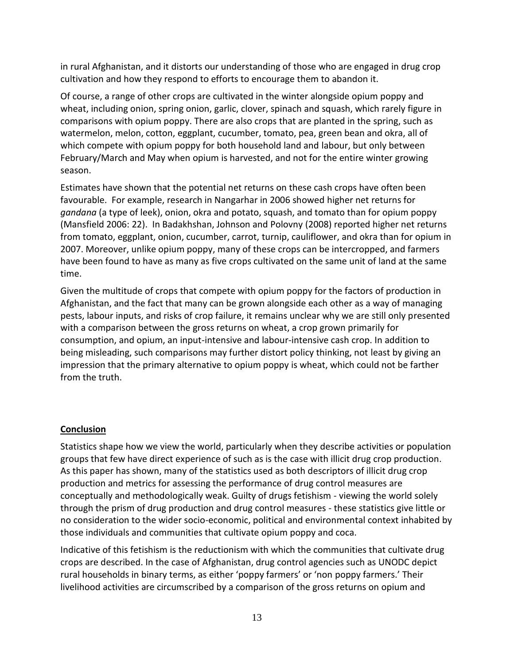in rural Afghanistan, and it distorts our understanding of those who are engaged in drug crop cultivation and how they respond to efforts to encourage them to abandon it.

Of course, a range of other crops are cultivated in the winter alongside opium poppy and wheat, including onion, spring onion, garlic, clover, spinach and squash, which rarely figure in comparisons with opium poppy. There are also crops that are planted in the spring, such as watermelon, melon, cotton, eggplant, cucumber, tomato, pea, green bean and okra, all of which compete with opium poppy for both household land and labour, but only between February/March and May when opium is harvested, and not for the entire winter growing season.

Estimates have shown that the potential net returns on these cash crops have often been favourable. For example, research in Nangarhar in 2006 showed higher net returns for *gandana* (a type of leek), onion, okra and potato, squash, and tomato than for opium poppy (Mansfield 2006: 22). In Badakhshan, Johnson and Polovny (2008) reported higher net returns from tomato, eggplant, onion, cucumber, carrot, turnip, cauliflower, and okra than for opium in 2007. Moreover, unlike opium poppy, many of these crops can be intercropped, and farmers have been found to have as many as five crops cultivated on the same unit of land at the same time.

Given the multitude of crops that compete with opium poppy for the factors of production in Afghanistan, and the fact that many can be grown alongside each other as a way of managing pests, labour inputs, and risks of crop failure, it remains unclear why we are still only presented with a comparison between the gross returns on wheat, a crop grown primarily for consumption, and opium, an input-intensive and labour-intensive cash crop. In addition to being misleading, such comparisons may further distort policy thinking, not least by giving an impression that the primary alternative to opium poppy is wheat, which could not be farther from the truth.

## **Conclusion**

Statistics shape how we view the world, particularly when they describe activities or population groups that few have direct experience of such as is the case with illicit drug crop production. As this paper has shown, many of the statistics used as both descriptors of illicit drug crop production and metrics for assessing the performance of drug control measures are conceptually and methodologically weak. Guilty of drugs fetishism - viewing the world solely through the prism of drug production and drug control measures - these statistics give little or no consideration to the wider socio-economic, political and environmental context inhabited by those individuals and communities that cultivate opium poppy and coca.

Indicative of this fetishism is the reductionism with which the communities that cultivate drug crops are described. In the case of Afghanistan, drug control agencies such as UNODC depict rural households in binary terms, as either 'poppy farmers' or 'non poppy farmers.' Their livelihood activities are circumscribed by a comparison of the gross returns on opium and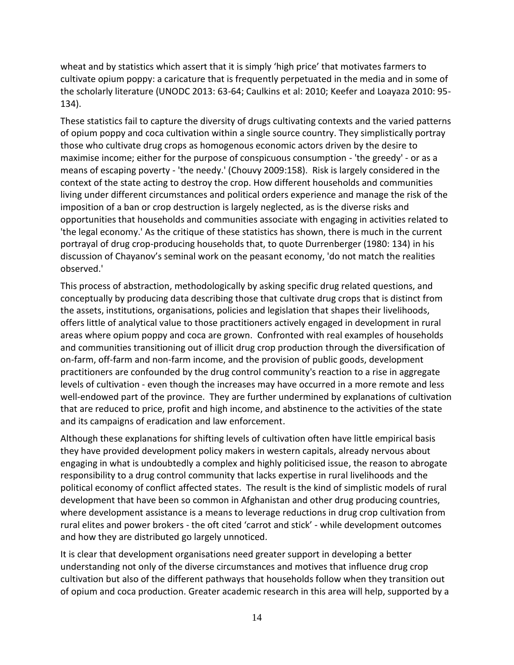wheat and by statistics which assert that it is simply 'high price' that motivates farmers to cultivate opium poppy: a caricature that is frequently perpetuated in the media and in some of the scholarly literature (UNODC 2013: 63-64; Caulkins et al: 2010; Keefer and Loayaza 2010: 95- 134).

These statistics fail to capture the diversity of drugs cultivating contexts and the varied patterns of opium poppy and coca cultivation within a single source country. They simplistically portray those who cultivate drug crops as homogenous economic actors driven by the desire to maximise income; either for the purpose of conspicuous consumption - 'the greedy' - or as a means of escaping poverty - 'the needy.' (Chouvy 2009:158). Risk is largely considered in the context of the state acting to destroy the crop. How different households and communities living under different circumstances and political orders experience and manage the risk of the imposition of a ban or crop destruction is largely neglected, as is the diverse risks and opportunities that households and communities associate with engaging in activities related to 'the legal economy.' As the critique of these statistics has shown, there is much in the current portrayal of drug crop-producing households that, to quote Durrenberger (1980: 134) in his discussion of Chayanov's seminal work on the peasant economy, 'do not match the realities observed.'

This process of abstraction, methodologically by asking specific drug related questions, and conceptually by producing data describing those that cultivate drug crops that is distinct from the assets, institutions, organisations, policies and legislation that shapes their livelihoods, offers little of analytical value to those practitioners actively engaged in development in rural areas where opium poppy and coca are grown. Confronted with real examples of households and communities transitioning out of illicit drug crop production through the diversification of on-farm, off-farm and non-farm income, and the provision of public goods, development practitioners are confounded by the drug control community's reaction to a rise in aggregate levels of cultivation - even though the increases may have occurred in a more remote and less well-endowed part of the province. They are further undermined by explanations of cultivation that are reduced to price, profit and high income, and abstinence to the activities of the state and its campaigns of eradication and law enforcement.

Although these explanations for shifting levels of cultivation often have little empirical basis they have provided development policy makers in western capitals, already nervous about engaging in what is undoubtedly a complex and highly politicised issue, the reason to abrogate responsibility to a drug control community that lacks expertise in rural livelihoods and the political economy of conflict affected states. The result is the kind of simplistic models of rural development that have been so common in Afghanistan and other drug producing countries, where development assistance is a means to leverage reductions in drug crop cultivation from rural elites and power brokers - the oft cited 'carrot and stick' - while development outcomes and how they are distributed go largely unnoticed.

It is clear that development organisations need greater support in developing a better understanding not only of the diverse circumstances and motives that influence drug crop cultivation but also of the different pathways that households follow when they transition out of opium and coca production. Greater academic research in this area will help, supported by a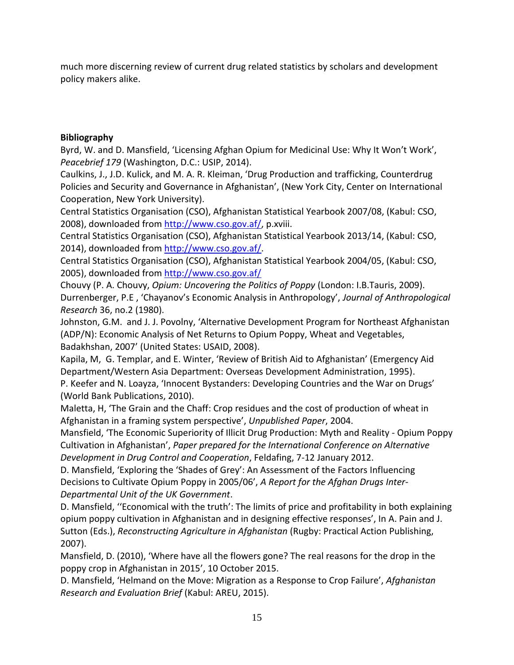much more discerning review of current drug related statistics by scholars and development policy makers alike.

# **Bibliography**

Byrd, W. and D. Mansfield, 'Licensing Afghan Opium for Medicinal Use: Why It Won't Work', *Peacebrief 179* (Washington, D.C.: USIP, 2014).

Caulkins, J., J.D. Kulick, and M. A. R. Kleiman, 'Drug Production and trafficking, Counterdrug Policies and Security and Governance in Afghanistan', (New York City, Center on International Cooperation, New York University).

Central Statistics Organisation (CSO), Afghanistan Statistical Yearbook 2007/08, (Kabul: CSO, 2008), downloaded from [http://www.cso.gov.af/,](http://www.cso.gov.af/) p.xviii.

Central Statistics Organisation (CSO), Afghanistan Statistical Yearbook 2013/14, (Kabul: CSO, 2014), downloaded from [http://www.cso.gov.af/.](http://www.cso.gov.af/)

Central Statistics Organisation (CSO), Afghanistan Statistical Yearbook 2004/05, (Kabul: CSO, 2005), downloaded from<http://www.cso.gov.af/>

Chouvy (P. A. Chouvy, *Opium: Uncovering the Politics of Poppy* (London: I.B.Tauris, 2009). Durrenberger, P.E , 'Chayanov's Economic Analysis in Anthropology', *Journal of Anthropological Research* 36, no.2 (1980).

Johnston, G.M. and J. J. Povolny, 'Alternative Development Program for Northeast Afghanistan (ADP/N): Economic Analysis of Net Returns to Opium Poppy, Wheat and Vegetables, Badakhshan, 2007' (United States: USAID, 2008).

Kapila, M, G. Templar, and E. Winter, 'Review of British Aid to Afghanistan' (Emergency Aid Department/Western Asia Department: Overseas Development Administration, 1995). P. Keefer and N. Loayza, 'Innocent Bystanders: Developing Countries and the War on Drugs' (World Bank Publications, 2010).

Maletta, H, 'The Grain and the Chaff: Crop residues and the cost of production of wheat in Afghanistan in a framing system perspective', *Unpublished Paper*, 2004.

Mansfield, 'The Economic Superiority of Illicit Drug Production: Myth and Reality - Opium Poppy Cultivation in Afghanistan', *Paper prepared for the International Conference on Alternative Development in Drug Control and Cooperation*, Feldafing, 7-12 January 2012.

D. Mansfield, 'Exploring the 'Shades of Grey': An Assessment of the Factors Influencing Decisions to Cultivate Opium Poppy in 2005/06', *A Report for the Afghan Drugs Inter-Departmental Unit of the UK Government*.

D. Mansfield, ''Economical with the truth': The limits of price and profitability in both explaining opium poppy cultivation in Afghanistan and in designing effective responses', In A. Pain and J. Sutton (Eds.), *Reconstructing Agriculture in Afghanistan* (Rugby: Practical Action Publishing, 2007).

Mansfield, D. (2010), 'Where have all the flowers gone? The real reasons for the drop in the poppy crop in Afghanistan in 2015', 10 October 2015.

D. Mansfield, 'Helmand on the Move: Migration as a Response to Crop Failure', *Afghanistan Research and Evaluation Brief* (Kabul: AREU, 2015).